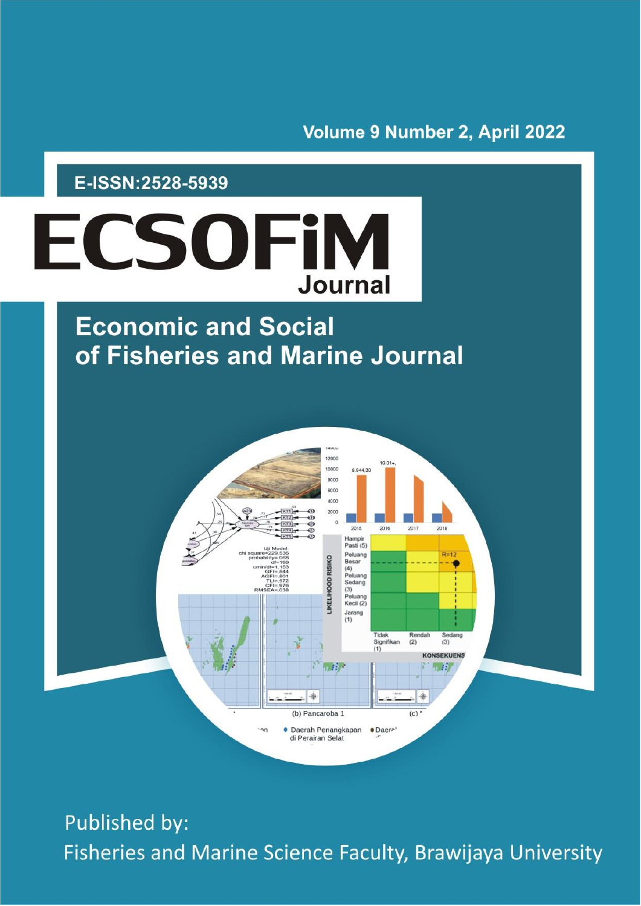## Volume 9 Number 2, April 2022

## E-ISSN:2528-5939



# **Economic and Social** of Fisheries and Marine Journal



Published by: Fisheries and Marine Science Faculty, Brawijaya University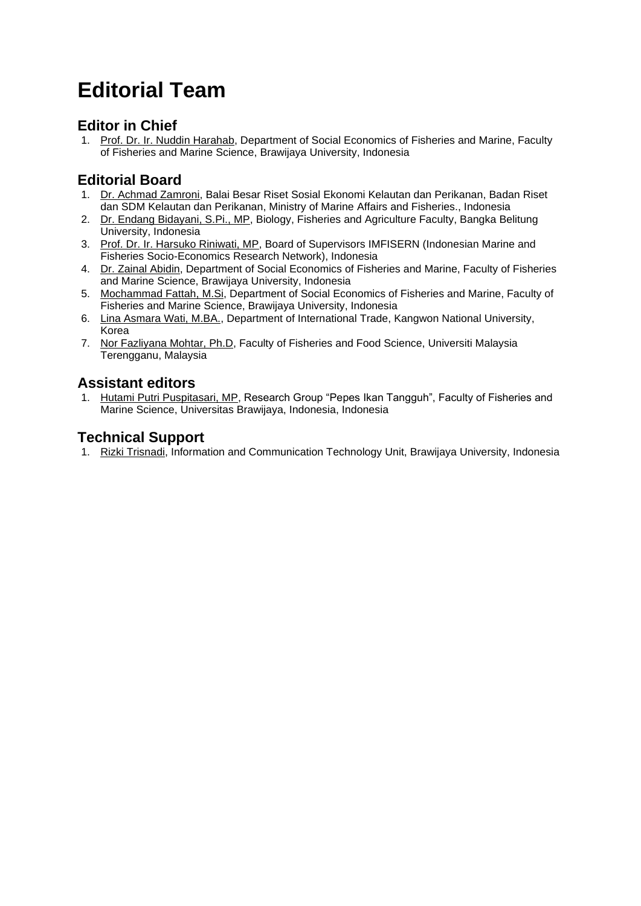## **Editorial Team**

## **Editor in Chief**

1. [Prof. Dr. Ir. Nuddin Harahab,](javascript:openRTWindow() Department of Social Economics of Fisheries and Marine, Faculty of Fisheries and Marine Science, Brawijaya University, Indonesia

## **Editorial Board**

- 1. [Dr. Achmad Zamroni,](javascript:openRTWindow() Balai Besar Riset Sosial Ekonomi Kelautan dan Perikanan, Badan Riset dan SDM Kelautan dan Perikanan, Ministry of Marine Affairs and Fisheries., Indonesia
- 2. [Dr. Endang Bidayani, S.Pi., MP,](javascript:openRTWindow() Biology, Fisheries and Agriculture Faculty, Bangka Belitung University, Indonesia
- 3. [Prof. Dr. Ir. Harsuko Riniwati, MP,](javascript:openRTWindow() Board of Supervisors IMFISERN (Indonesian Marine and Fisheries Socio-Economics Research Network), Indonesia
- 4. [Dr. Zainal Abidin,](javascript:openRTWindow() Department of Social Economics of Fisheries and Marine, Faculty of Fisheries and Marine Science, Brawijaya University, Indonesia
- 5. [Mochammad Fattah, M.Si,](javascript:openRTWindow() Department of Social Economics of Fisheries and Marine, Faculty of Fisheries and Marine Science, Brawijaya University, Indonesia
- 6. [Lina Asmara Wati, M.BA.,](javascript:openRTWindow() Department of International Trade, Kangwon National University, Korea
- 7. [Nor Fazliyana Mohtar, Ph.D,](javascript:openRTWindow() Faculty of Fisheries and Food Science, Universiti Malaysia Terengganu, Malaysia

### **Assistant editors**

1. [Hutami Putri Puspitasari, MP,](javascript:openRTWindow() Research Group "Pepes Ikan Tangguh", Faculty of Fisheries and Marine Science, Universitas Brawijaya, Indonesia, Indonesia

### **Technical Support**

1. [Rizki Trisnadi,](javascript:openRTWindow() Information and Communication Technology Unit, Brawijaya University, Indonesia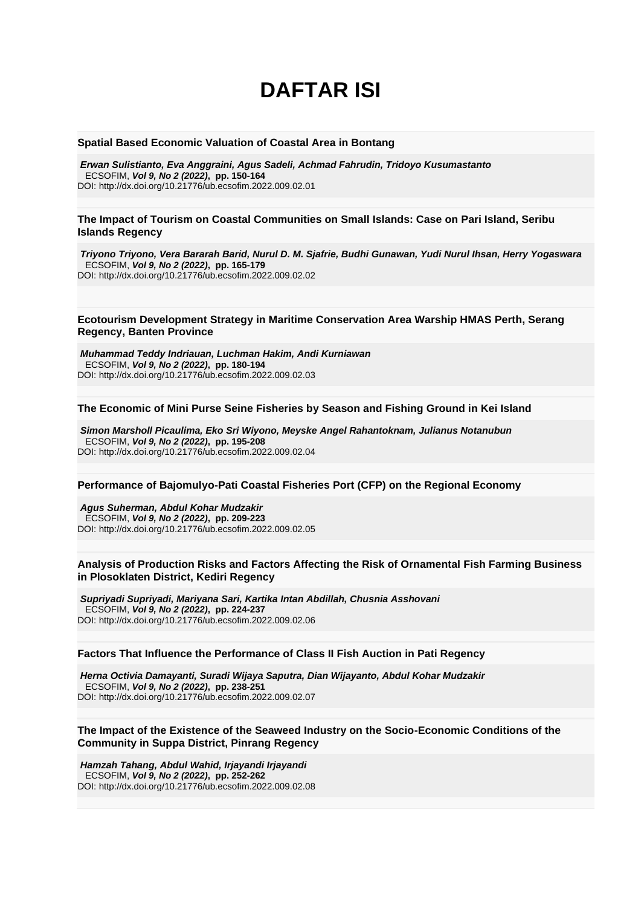## **DAFTAR ISI**

#### **[Spatial Based Economic Valuation of Coastal Area in Bontang](https://ecsofim.ub.ac.id/index.php/ecsofim/article/view/1977)**

*Erwan Sulistianto, Eva Anggraini, Agus Sadeli, Achmad Fahrudin, Tridoyo Kusumastanto* ECSOFIM, *Vol 9, No 2 (2022)***, pp. 150-164**  DOI: <http://dx.doi.org/10.21776/ub.ecsofim.2022.009.02.01>

#### **[The Impact of Tourism on Coastal Communities on Small Islands: Case on Pari Island, Seribu](https://ecsofim.ub.ac.id/index.php/ecsofim/article/view/1995)  [Islands Regency](https://ecsofim.ub.ac.id/index.php/ecsofim/article/view/1995)**

*Triyono Triyono, Vera Bararah Barid, Nurul D. M. Sjafrie, Budhi Gunawan, Yudi Nurul Ihsan, Herry Yogaswara* ECSOFIM, *Vol 9, No 2 (2022)***, pp. 165-179**  DOI: <http://dx.doi.org/10.21776/ub.ecsofim.2022.009.02.02>

#### **[Ecotourism Development Strategy in Maritime Conservation Area Warship HMAS Perth, Serang](https://ecsofim.ub.ac.id/index.php/ecsofim/article/view/1973)  [Regency, Banten Province](https://ecsofim.ub.ac.id/index.php/ecsofim/article/view/1973)**

*Muhammad Teddy Indriauan, Luchman Hakim, Andi Kurniawan* ECSOFIM, *Vol 9, No 2 (2022)***, pp. 180-194**  DOI: <http://dx.doi.org/10.21776/ub.ecsofim.2022.009.02.03>

#### **[The Economic of Mini Purse Seine Fisheries by Season and Fishing Ground in Kei Island](https://ecsofim.ub.ac.id/index.php/ecsofim/article/view/1982)**

*Simon Marsholl Picaulima, Eko Sri Wiyono, Meyske Angel Rahantoknam, Julianus Notanubun* ECSOFIM, *Vol 9, No 2 (2022)***, pp. 195-208**  DOI: <http://dx.doi.org/10.21776/ub.ecsofim.2022.009.02.04>

#### **[Performance of Bajomulyo-Pati Coastal Fisheries Port \(CFP\) on the Regional Economy](https://ecsofim.ub.ac.id/index.php/ecsofim/article/view/1980)**

*Agus Suherman, Abdul Kohar Mudzakir* ECSOFIM, *Vol 9, No 2 (2022)***, pp. 209-223**  DOI: <http://dx.doi.org/10.21776/ub.ecsofim.2022.009.02.05>

#### **[Analysis of Production Risks and Factors Affecting the Risk of Ornamental Fish Farming Business](https://ecsofim.ub.ac.id/index.php/ecsofim/article/view/1994)  [in Plosoklaten District, Kediri Regency](https://ecsofim.ub.ac.id/index.php/ecsofim/article/view/1994)**

*Supriyadi Supriyadi, Mariyana Sari, Kartika Intan Abdillah, Chusnia Asshovani* ECSOFIM, *Vol 9, No 2 (2022)***, pp. 224-237**  DOI: <http://dx.doi.org/10.21776/ub.ecsofim.2022.009.02.06>

#### **[Factors That Influence the Performance of Class II Fish Auction in Pati Regency](https://ecsofim.ub.ac.id/index.php/ecsofim/article/view/1979)**

*Herna Octivia Damayanti, Suradi Wijaya Saputra, Dian Wijayanto, Abdul Kohar Mudzakir* ECSOFIM, *Vol 9, No 2 (2022)***, pp. 238-251**  DOI: <http://dx.doi.org/10.21776/ub.ecsofim.2022.009.02.07>

#### **[The Impact of the Existence of the Seaweed Industry on the Socio-Economic Conditions of the](https://ecsofim.ub.ac.id/index.php/ecsofim/article/view/352)  [Community in Suppa District, Pinrang Regency](https://ecsofim.ub.ac.id/index.php/ecsofim/article/view/352)**

*Hamzah Tahang, Abdul Wahid, Irjayandi Irjayandi* ECSOFIM, *Vol 9, No 2 (2022)***, pp. 252-262**  DOI: <http://dx.doi.org/10.21776/ub.ecsofim.2022.009.02.08>